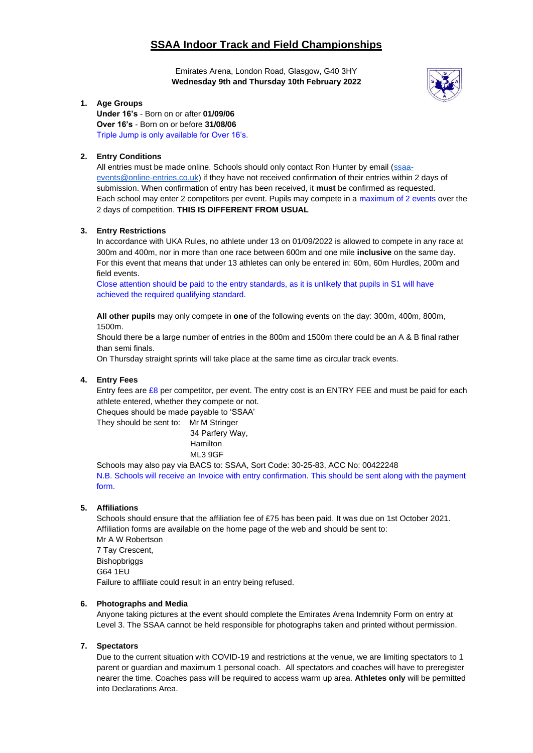# **SSAA Indoor Track and Field Championships**

Emirates Arena, London Road, Glasgow, G40 3HY  **Wednesday 9th and Thursday 10th February 2022**



# **1. Age Groups**

**Under 16's** - Born on or after **01/09/06 Over 16's** - Born on or before **31/08/06** Triple Jump is only available for Over 16's.

# **2. Entry Conditions**

All entries must be made online. Schools should only contact Ron Hunter by email [\(ssaa](mailto:ssaa-events@online-entries.co.uk)[events@online-entries.co.uk\)](mailto:ssaa-events@online-entries.co.uk) if they have not received confirmation of their entries within 2 days of submission. When confirmation of entry has been received, it **must** be confirmed as requested. Each school may enter 2 competitors per event. Pupils may compete in a maximum of 2 events over the 2 days of competition. **THIS IS DIFFERENT FROM USUAL**

# **3. Entry Restrictions**

In accordance with UKA Rules, no athlete under 13 on 01/09/2022 is allowed to compete in any race at 300m and 400m, nor in more than one race between 600m and one mile **inclusive** on the same day. For this event that means that under 13 athletes can only be entered in: 60m, 60m Hurdles, 200m and field events.

Close attention should be paid to the entry standards, as it is unlikely that pupils in S1 will have achieved the required qualifying standard.

**All other pupils** may only compete in **one** of the following events on the day: 300m, 400m, 800m, 1500m.

Should there be a large number of entries in the 800m and 1500m there could be an A & B final rather than semi finals.

On Thursday straight sprints will take place at the same time as circular track events.

### **4. Entry Fees**

Entry fees are £8 per competitor, per event. The entry cost is an ENTRY FEE and must be paid for each athlete entered, whether they compete or not.

Cheques should be made payable to 'SSAA'

They should be sent to: Mr M Stringer

34 Parfery Way,

 Hamilton ML3 9GF

Schools may also pay via BACS to: SSAA, Sort Code: 30-25-83, ACC No: 00422248 N.B. Schools will receive an Invoice with entry confirmation. This should be sent along with the payment form.

#### **5. Affiliations**

Schools should ensure that the affiliation fee of £75 has been paid. It was due on 1st October 2021. Affiliation forms are available on the home page of the web and should be sent to: Mr A W Robertson

7 Tay Crescent, Bishopbriggs G64 1EU Failure to affiliate could result in an entry being refused.

#### **6. Photographs and Media**

Anyone taking pictures at the event should complete the Emirates Arena Indemnity Form on entry at Level 3. The SSAA cannot be held responsible for photographs taken and printed without permission.

#### **7. Spectators**

Due to the current situation with COVID-19 and restrictions at the venue, we are limiting spectators to 1 parent or guardian and maximum 1 personal coach. All spectators and coaches will have to preregister nearer the time. Coaches pass will be required to access warm up area. **Athletes only** will be permitted into Declarations Area.